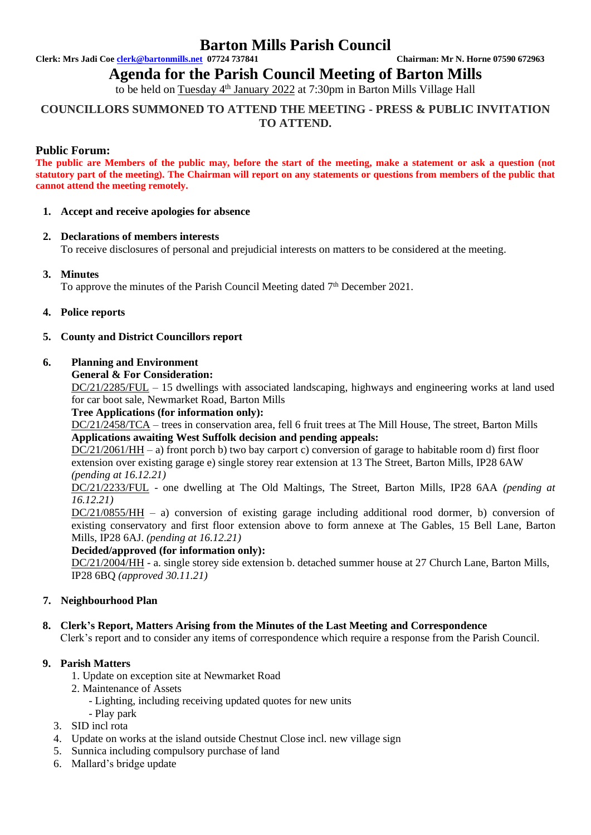# **Barton Mills Parish Council**

**Clerk: Mrs Jadi Coe [clerk@bartonmills.net](mailto:clerk@bartonmills.net) 07724 737841 Chairman: Mr N. Horne 07590 672963**

# **Agenda for the Parish Council Meeting of Barton Mills**

to be held on Tuesday 4<sup>th</sup> January 2022 at 7:30pm in Barton Mills Village Hall

# **COUNCILLORS SUMMONED TO ATTEND THE MEETING - PRESS & PUBLIC INVITATION TO ATTEND.**

# **Public Forum:**

**The public are Members of the public may, before the start of the meeting, make a statement or ask a question (not statutory part of the meeting). The Chairman will report on any statements or questions from members of the public that cannot attend the meeting remotely.**

# **1. Accept and receive apologies for absence**

# **2. Declarations of members interests**

To receive disclosures of personal and prejudicial interests on matters to be considered at the meeting.

# **3. Minutes**

To approve the minutes of the Parish Council Meeting dated  $7<sup>th</sup>$  December 2021.

# **4. Police reports**

# **5. County and District Councillors report**

# **6. Planning and Environment**

# **General & For Consideration:**

DC/21/2285/FUL – 15 dwellings with associated landscaping, highways and engineering works at land used for car boot sale, Newmarket Road, Barton Mills

#### **Tree Applications (for information only):**

DC/21/2458/TCA – trees in conservation area, fell 6 fruit trees at The Mill House, The street, Barton Mills **Applications awaiting West Suffolk decision and pending appeals:**

DC/21/2061/HH – a) front porch b) two bay carport c) conversion of garage to habitable room d) first floor extension over existing garage e) single storey rear extension at 13 The Street, Barton Mills, IP28 6AW *(pending at 16.12.21)*

DC/21/2233/FUL - one dwelling at The Old Maltings, The Street, Barton Mills, IP28 6AA *(pending at 16.12.21)*

DC/21/0855/HH – a) conversion of existing garage including additional rood dormer, b) conversion of existing conservatory and first floor extension above to form annexe at The Gables, 15 Bell Lane, Barton Mills, IP28 6AJ. *(pending at 16.12.21)*

# **Decided/approved (for information only):**

DC/21/2004/HH - a. single storey side extension b. detached summer house at 27 Church Lane, Barton Mills, IP28 6BQ *(approved 30.11.21)*

# **7. Neighbourhood Plan**

# **8. Clerk's Report, Matters Arising from the Minutes of the Last Meeting and Correspondence**

Clerk's report and to consider any items of correspondence which require a response from the Parish Council.

#### **9. Parish Matters**

- 1. Update on exception site at Newmarket Road
- 2. Maintenance of Assets
	- Lighting, including receiving updated quotes for new units
- Play park
- 3. SID incl rota
- 4. Update on works at the island outside Chestnut Close incl. new village sign
- 5. Sunnica including compulsory purchase of land
- 6. Mallard's bridge update